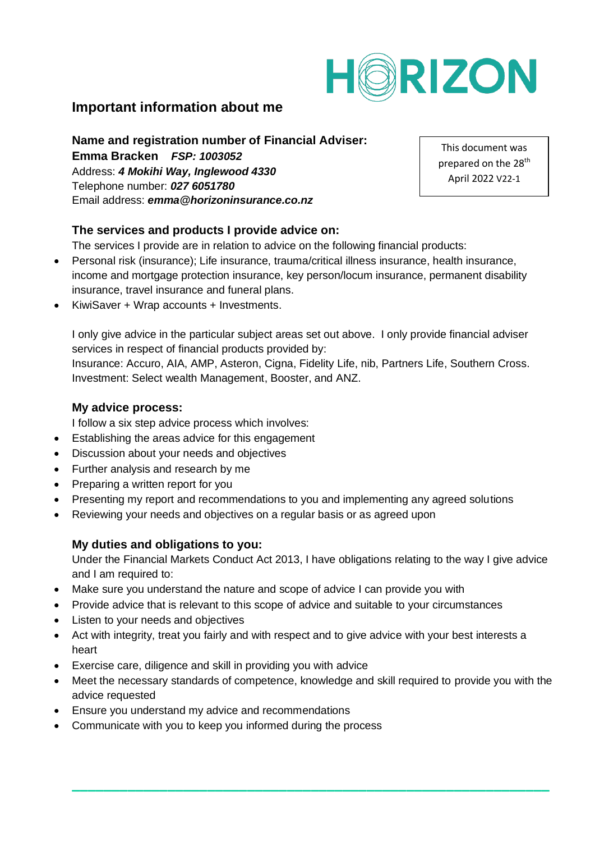

# **Important information about me**

# **Name and registration number of Financial Adviser:**

**Emma Bracken** *FSP: 1003052* Address: *4 Mokihi Way, Inglewood 4330* Telephone number: *027 6051780* Email address: *emma@horizoninsurance.co.nz*

This document was prepared on the 28<sup>th</sup> April 2022 V22-1

## **The services and products I provide advice on:**

The services I provide are in relation to advice on the following financial products:

- Personal risk (insurance); Life insurance, trauma/critical illness insurance, health insurance, income and mortgage protection insurance, key person/locum insurance, permanent disability insurance, travel insurance and funeral plans.
- KiwiSaver + Wrap accounts + Investments.

I only give advice in the particular subject areas set out above. I only provide financial adviser services in respect of financial products provided by:

Insurance: Accuro, AIA, AMP, Asteron, Cigna, Fidelity Life, nib, Partners Life, Southern Cross. Investment: Select wealth Management, Booster, and ANZ.

### **My advice process:**

I follow a six step advice process which involves:

- Establishing the areas advice for this engagement
- Discussion about your needs and objectives
- Further analysis and research by me
- Preparing a written report for you
- Presenting my report and recommendations to you and implementing any agreed solutions
- Reviewing your needs and objectives on a regular basis or as agreed upon

## **My duties and obligations to you:**

Under the Financial Markets Conduct Act 2013, I have obligations relating to the way I give advice and I am required to:

- Make sure you understand the nature and scope of advice I can provide you with
- Provide advice that is relevant to this scope of advice and suitable to your circumstances
- Listen to your needs and objectives
- Act with integrity, treat you fairly and with respect and to give advice with your best interests a heart
- Exercise care, diligence and skill in providing you with advice
- Meet the necessary standards of competence, knowledge and skill required to provide you with the advice requested

**\_\_\_\_\_\_\_\_\_\_\_\_\_\_\_\_\_\_\_\_\_\_\_\_\_\_\_\_\_\_\_\_\_\_\_\_\_\_\_\_\_\_\_\_\_\_\_\_\_\_\_\_\_\_\_\_\_\_\_\_**

- Ensure you understand my advice and recommendations
- Communicate with you to keep you informed during the process